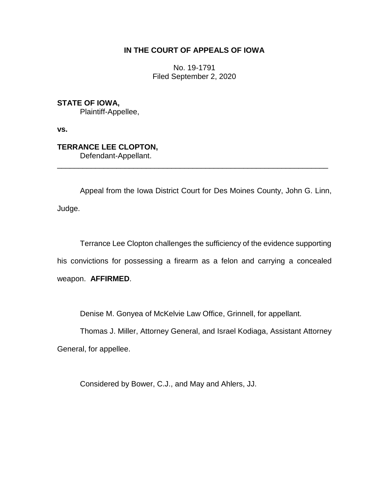## **IN THE COURT OF APPEALS OF IOWA**

No. 19-1791 Filed September 2, 2020

**STATE OF IOWA,** Plaintiff-Appellee,

**vs.**

**TERRANCE LEE CLOPTON,** Defendant-Appellant.

Appeal from the Iowa District Court for Des Moines County, John G. Linn, Judge.

\_\_\_\_\_\_\_\_\_\_\_\_\_\_\_\_\_\_\_\_\_\_\_\_\_\_\_\_\_\_\_\_\_\_\_\_\_\_\_\_\_\_\_\_\_\_\_\_\_\_\_\_\_\_\_\_\_\_\_\_\_\_\_\_

Terrance Lee Clopton challenges the sufficiency of the evidence supporting his convictions for possessing a firearm as a felon and carrying a concealed weapon. **AFFIRMED**.

Denise M. Gonyea of McKelvie Law Office, Grinnell, for appellant.

Thomas J. Miller, Attorney General, and Israel Kodiaga, Assistant Attorney General, for appellee.

Considered by Bower, C.J., and May and Ahlers, JJ.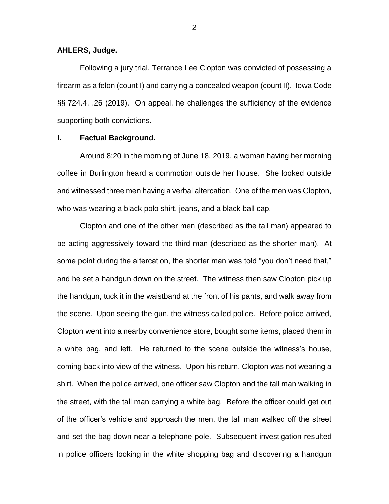#### **AHLERS, Judge.**

Following a jury trial, Terrance Lee Clopton was convicted of possessing a firearm as a felon (count I) and carrying a concealed weapon (count II). Iowa Code §§ 724.4, .26 (2019). On appeal, he challenges the sufficiency of the evidence supporting both convictions.

### **I. Factual Background.**

Around 8:20 in the morning of June 18, 2019, a woman having her morning coffee in Burlington heard a commotion outside her house. She looked outside and witnessed three men having a verbal altercation. One of the men was Clopton, who was wearing a black polo shirt, jeans, and a black ball cap.

Clopton and one of the other men (described as the tall man) appeared to be acting aggressively toward the third man (described as the shorter man). At some point during the altercation, the shorter man was told "you don't need that," and he set a handgun down on the street. The witness then saw Clopton pick up the handgun, tuck it in the waistband at the front of his pants, and walk away from the scene. Upon seeing the gun, the witness called police. Before police arrived, Clopton went into a nearby convenience store, bought some items, placed them in a white bag, and left. He returned to the scene outside the witness's house, coming back into view of the witness. Upon his return, Clopton was not wearing a shirt. When the police arrived, one officer saw Clopton and the tall man walking in the street, with the tall man carrying a white bag. Before the officer could get out of the officer's vehicle and approach the men, the tall man walked off the street and set the bag down near a telephone pole. Subsequent investigation resulted in police officers looking in the white shopping bag and discovering a handgun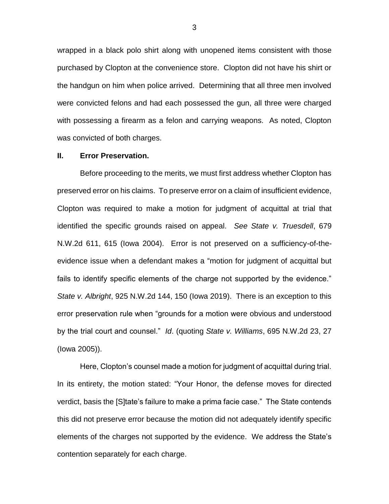wrapped in a black polo shirt along with unopened items consistent with those purchased by Clopton at the convenience store. Clopton did not have his shirt or the handgun on him when police arrived. Determining that all three men involved were convicted felons and had each possessed the gun, all three were charged with possessing a firearm as a felon and carrying weapons. As noted, Clopton was convicted of both charges.

#### **II. Error Preservation.**

Before proceeding to the merits, we must first address whether Clopton has preserved error on his claims. To preserve error on a claim of insufficient evidence, Clopton was required to make a motion for judgment of acquittal at trial that identified the specific grounds raised on appeal. *See State v. Truesdell*, 679 N.W.2d 611, 615 (Iowa 2004). Error is not preserved on a sufficiency-of-theevidence issue when a defendant makes a "motion for judgment of acquittal but fails to identify specific elements of the charge not supported by the evidence." *State v. Albright*, 925 N.W.2d 144, 150 (Iowa 2019). There is an exception to this error preservation rule when "grounds for a motion were obvious and understood by the trial court and counsel." *Id*. (quoting *State v. Williams*, 695 N.W.2d 23, 27 (Iowa 2005)).

Here, Clopton's counsel made a motion for judgment of acquittal during trial. In its entirety, the motion stated: "Your Honor, the defense moves for directed verdict, basis the [S]tate's failure to make a prima facie case." The State contends this did not preserve error because the motion did not adequately identify specific elements of the charges not supported by the evidence. We address the State's contention separately for each charge.

3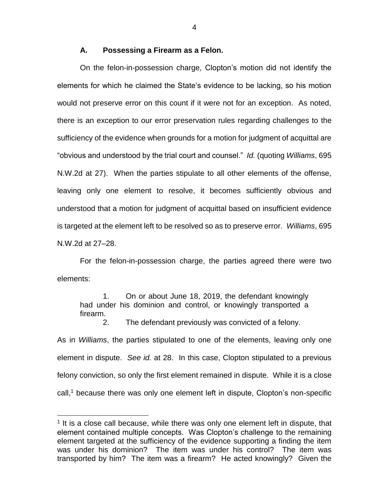### **A. Possessing a Firearm as a Felon.**

On the felon-in-possession charge, Clopton's motion did not identify the elements for which he claimed the State's evidence to be lacking, so his motion would not preserve error on this count if it were not for an exception. As noted, there is an exception to our error preservation rules regarding challenges to the sufficiency of the evidence when grounds for a motion for judgment of acquittal are "obvious and understood by the trial court and counsel." *Id.* (quoting *Williams*, 695 N.W.2d at 27). When the parties stipulate to all other elements of the offense, leaving only one element to resolve, it becomes sufficiently obvious and understood that a motion for judgment of acquittal based on insufficient evidence is targeted at the element left to be resolved so as to preserve error. *Williams*, 695 N.W.2d at 27–28.

For the felon-in-possession charge, the parties agreed there were two elements:

1. On or about June 18, 2019, the defendant knowingly had under his dominion and control, or knowingly transported a firearm.

2. The defendant previously was convicted of a felony.

As in *Williams*, the parties stipulated to one of the elements, leaving only one element in dispute. *See id.* at 28. In this case, Clopton stipulated to a previous felony conviction, so only the first element remained in dispute. While it is a close  $call<sub>1</sub><sup>1</sup> because there was only one element left in dispute, Clopton's non-specific$ 

 $\overline{a}$ 

4

<sup>&</sup>lt;sup>1</sup> It is a close call because, while there was only one element left in dispute, that element contained multiple concepts. Was Clopton's challenge to the remaining element targeted at the sufficiency of the evidence supporting a finding the item was under his dominion? The item was under his control? The item was transported by him? The item was a firearm? He acted knowingly? Given the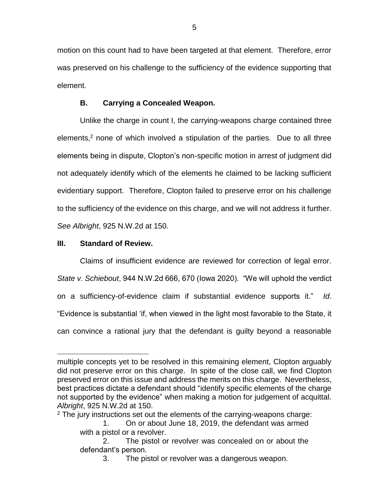motion on this count had to have been targeted at that element. Therefore, error was preserved on his challenge to the sufficiency of the evidence supporting that element.

# **B. Carrying a Concealed Weapon.**

Unlike the charge in count I, the carrying-weapons charge contained three elements,<sup>2</sup> none of which involved a stipulation of the parties. Due to all three elements being in dispute, Clopton's non-specific motion in arrest of judgment did not adequately identify which of the elements he claimed to be lacking sufficient evidentiary support. Therefore, Clopton failed to preserve error on his challenge to the sufficiency of the evidence on this charge, and we will not address it further. *See Albright*, 925 N.W.2d at 150.

## **III. Standard of Review.**

 $\overline{a}$ 

Claims of insufficient evidence are reviewed for correction of legal error. *State v. Schiebout*, 944 N.W.2d 666, 670 (Iowa 2020). "We will uphold the verdict on a sufficiency-of-evidence claim if substantial evidence supports it." *Id*. "Evidence is substantial 'if, when viewed in the light most favorable to the State, it can convince a rational jury that the defendant is guilty beyond a reasonable

multiple concepts yet to be resolved in this remaining element, Clopton arguably did not preserve error on this charge. In spite of the close call, we find Clopton preserved error on this issue and address the merits on this charge. Nevertheless, best practices dictate a defendant should "identify specific elements of the charge not supported by the evidence" when making a motion for judgement of acquittal. *Albright*, 925 N.W.2d at 150.

 $2$  The jury instructions set out the elements of the carrying-weapons charge:

<sup>1.</sup> On or about June 18, 2019, the defendant was armed with a pistol or a revolver.

<sup>2.</sup> The pistol or revolver was concealed on or about the defendant's person.

<sup>3.</sup> The pistol or revolver was a dangerous weapon.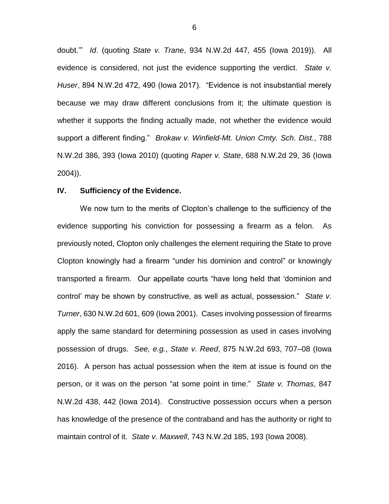doubt.'" *Id*. (quoting *State v. Trane*, 934 N.W.2d 447, 455 (Iowa 2019)). All evidence is considered, not just the evidence supporting the verdict. *State v. Huser*, 894 N.W.2d 472, 490 (Iowa 2017). "Evidence is not insubstantial merely because we may draw different conclusions from it; the ultimate question is whether it supports the finding actually made, not whether the evidence would support a different finding." *Brokaw v. Winfield-Mt. Union Cmty. Sch. Dist.*, 788 N.W.2d 386, 393 (Iowa 2010) (quoting *Raper v. State*, 688 N.W.2d 29, 36 (Iowa 2004)).

### **IV. Sufficiency of the Evidence.**

We now turn to the merits of Clopton's challenge to the sufficiency of the evidence supporting his conviction for possessing a firearm as a felon. As previously noted, Clopton only challenges the element requiring the State to prove Clopton knowingly had a firearm "under his dominion and control" or knowingly transported a firearm. Our appellate courts "have long held that 'dominion and control' may be shown by constructive, as well as actual, possession." *State v. Turner*, 630 N.W.2d 601, 609 (Iowa 2001). Cases involving possession of firearms apply the same standard for determining possession as used in cases involving possession of drugs. *See, e.g.*, *State v. Reed*, 875 N.W.2d 693, 707–08 (Iowa 2016). A person has actual possession when the item at issue is found on the person, or it was on the person "at some point in time." *State v. Thomas*, 847 N.W.2d 438, 442 (Iowa 2014). Constructive possession occurs when a person has knowledge of the presence of the contraband and has the authority or right to maintain control of it. *State v. Maxwell*, 743 N.W.2d 185, 193 (Iowa 2008).